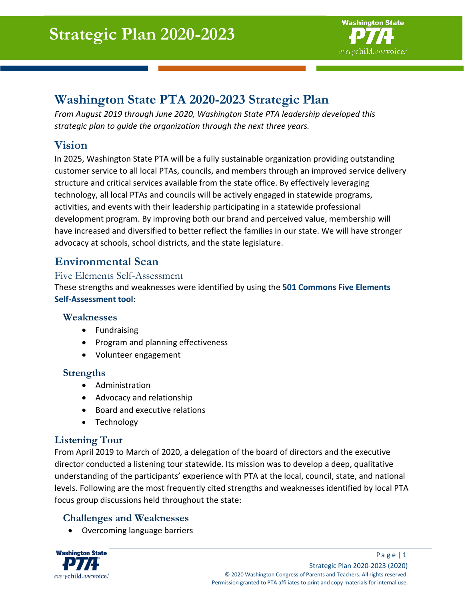

# **Washington State PTA 2020-2023 Strategic Plan**

*From August 2019 through June 2020, Washington State PTA leadership developed this strategic plan to guide the organization through the next three years.* 

# **Vision**

In 2025, Washington State PTA will be a fully sustainable organization providing outstanding customer service to all local PTAs, councils, and members through an improved service delivery structure and critical services available from the state office. By effectively leveraging technology, all local PTAs and councils will be actively engaged in statewide programs, activities, and events with their leadership participating in a statewide professional development program. By improving both our brand and perceived value, membership will have increased and diversified to better reflect the families in our state. We will have stronger advocacy at schools, school districts, and the state legislature.

# **Environmental Scan**

#### Five Elements Self-Assessment

These strengths and weaknesses were identified by using the **501 Commons Five Elements Self-Assessment tool**:

#### **Weaknesses**

- Fundraising
- Program and planning effectiveness
- Volunteer engagement

#### **Strengths**

- Administration
- Advocacy and relationship
- Board and executive relations
- Technology

#### **Listening Tour**

From April 2019 to March of 2020, a delegation of the board of directors and the executive director conducted a listening tour statewide. Its mission was to develop a deep, qualitative understanding of the participants' experience with PTA at the local, council, state, and national levels. Following are the most frequently cited strengths and weaknesses identified by local PTA focus group discussions held throughout the state:

## **Challenges and Weaknesses**

• Overcoming language barriers